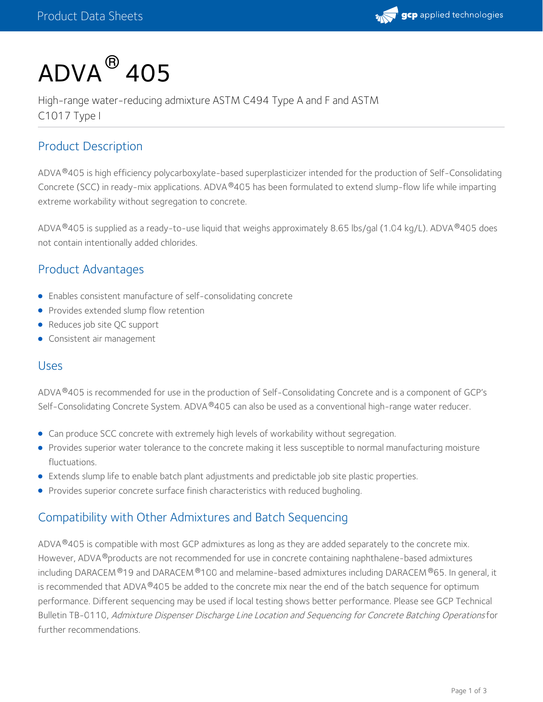

# $\mathsf{ADVA}^{\, \circledR}$  405

High-range water-reducing admixture ASTM C494 Type A and F and ASTM C1017 Type I

### Product Description

ADVA®405 is high efficiency polycarboxylate-based superplasticizer intended for the production of Self-Consolidating Concrete (SCC) in ready-mix applications. ADVA®405 has been formulated to extend slump-flow life while imparting extreme workability without segregation to concrete.

ADVA®405 is supplied as a ready-to-use liquid that weighs approximately 8.65 lbs/gal (1.04 kg/L). ADVA®405 does not contain intentionally added chlorides.

## Product Advantages

- Enables consistent manufacture of self-consolidating concrete
- **•** Provides extended slump flow retention
- Reduces job site QC support
- Consistent air management

#### Uses

ADVA®405 is recommended for use in the production of Self-Consolidating Concrete and is a component of GCP's Self-Consolidating Concrete System. ADVA®405 can also be used as a conventional high-range water reducer.

- Can produce SCC concrete with extremely high levels of workability without segregation.
- Provides superior water tolerance to the concrete making it less susceptible to normal manufacturing moisture fluctuations.
- Extends slump life to enable batch plant adjustments and predictable job site plastic properties.
- Provides superior concrete surface finish characteristics with reduced bugholing.

#### Compatibility with Other Admixtures and Batch Sequencing

ADVA $^{\circledR}$ 405 is compatible with most GCP admixtures as long as they are added separately to the concrete mix. However, ADVA ®products are not recommended for use in concrete containing naphthalene-based admixtures including DARACEM®19 and DARACEM®100 and melamine-based admixtures including DARACEM®65. In general, it is recommended that ADVA  $^{\circledR}$ 405 be added to the concrete mix near the end of the batch sequence for optimum performance. Different sequencing may be used if local testing shows better performance. Please see GCP Technical Bulletin TB-0110, Admixture Dispenser Discharge Line Location and Sequencing for Concrete Batching Operations for further recommendations.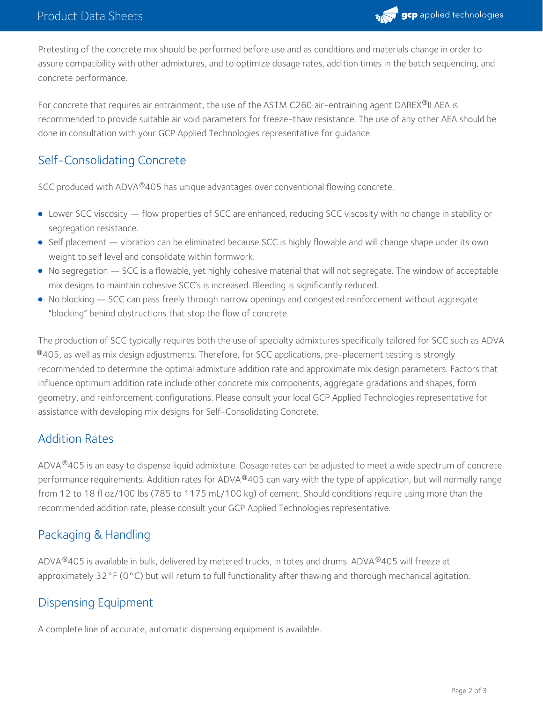

Pretesting of the concrete mix should be performed before use and as conditions and materials change in order to assure compatibility with other admixtures, and to optimize dosage rates, addition times in the batch sequencing, and concrete performance.

For concrete that requires air entrainment, the use of the ASTM C260 air-entraining agent DAREX®II AEA is recommended to provide suitable air void parameters for freeze-thaw resistance. The use of any other AEA should be done in consultation with your GCP Applied Technologies representative for guidance.

### Self-Consolidating Concrete

SCC produced with ADVA®405 has unique advantages over conventional flowing concrete.

- Lower SCC viscosity flow properties of SCC are enhanced, reducing SCC viscosity with no change in stability or segregation resistance.
- Self placement vibration can be eliminated because SCC is highly flowable and will change shape under its own weight to self level and consolidate within formwork.
- No segregation SCC is a flowable, yet highly cohesive material that will not segregate. The window of acceptable mix designs to maintain cohesive SCC's is increased. Bleeding is significantly reduced.
- No blocking SCC can pass freely through narrow openings and congested reinforcement without aggregate "blocking" behind obstructions that stop the flow of concrete.

The production of SCC typically requires both the use of specialty admixtures specifically tailored for SCC such as ADVA  $^\circledR$ 405, as well as mix design adjustments. Therefore, for SCC applications, pre-placement testing is strongly recommended to determine the optimal admixture addition rate and approximate mix design parameters. Factors that influence optimum addition rate include other concrete mix components, aggregate gradations and shapes, form geometry, and reinforcement configurations. Please consult your local GCP Applied Technologies representative for assistance with developing mix designs for Self-Consolidating Concrete.

#### Addition Rates

ADVA®405 is an easy to dispense liquid admixture. Dosage rates can be adjusted to meet a wide spectrum of concrete performance requirements. Addition rates for ADVA®405 can vary with the type of application, but will normally range from 12 to 18 fl oz/100 lbs (785 to 1175 mL/100 kg) of cement. Should conditions require using more than the recommended addition rate, please consult your GCP Applied Technologies representative.

## Packaging & Handling

<code>ADVA®405</code> is available in bulk, delivered by metered trucks, in totes and drums. <code>ADVA®405</code> will freeze at approximately 32°F (0°C) but will return to full functionality after thawing and thorough mechanical agitation.

#### Dispensing Equipment

A complete line of accurate, automatic dispensing equipment is available.